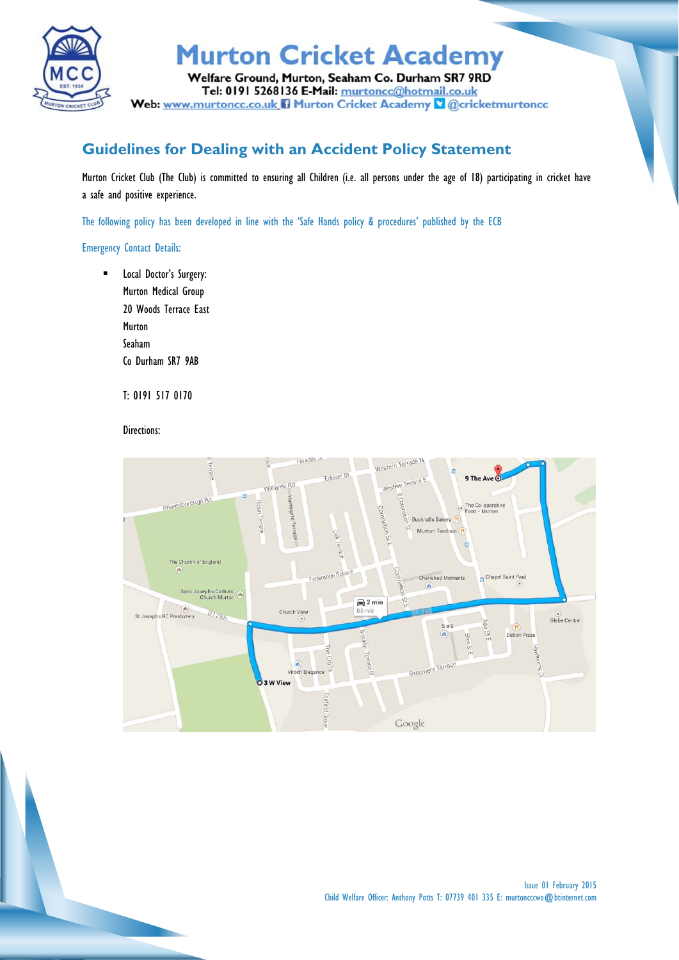

### **Murton Cricket Academy**

Welfare Ground, Murton, Seaham Co. Durham SR7 9RD Tel: 0191 5268136 E-Mail: murtoncc@hotmail.co.uk Web: www.murtoncc.co.uk B Murton Cricket Academy & @cricketmurtoncc

#### **Guidelines for Dealing with an Accident Policy Statement**

Murton Cricket Club (The Club) is committed to ensuring all Children (i.e. all persons under the age of 18) participating in cricket have a safe and positive experience.

The following policy has been developed in line with the 'Safe Hands policy & procedures' published by the ECB

#### Emergency Contact Details:

**EXEC** Local Doctor's Surgery: Murton Medical Group 20 Woods Terrace East Murton Seaham Co Durham SR7 9AB

T: 0191 517 0170

Directions:

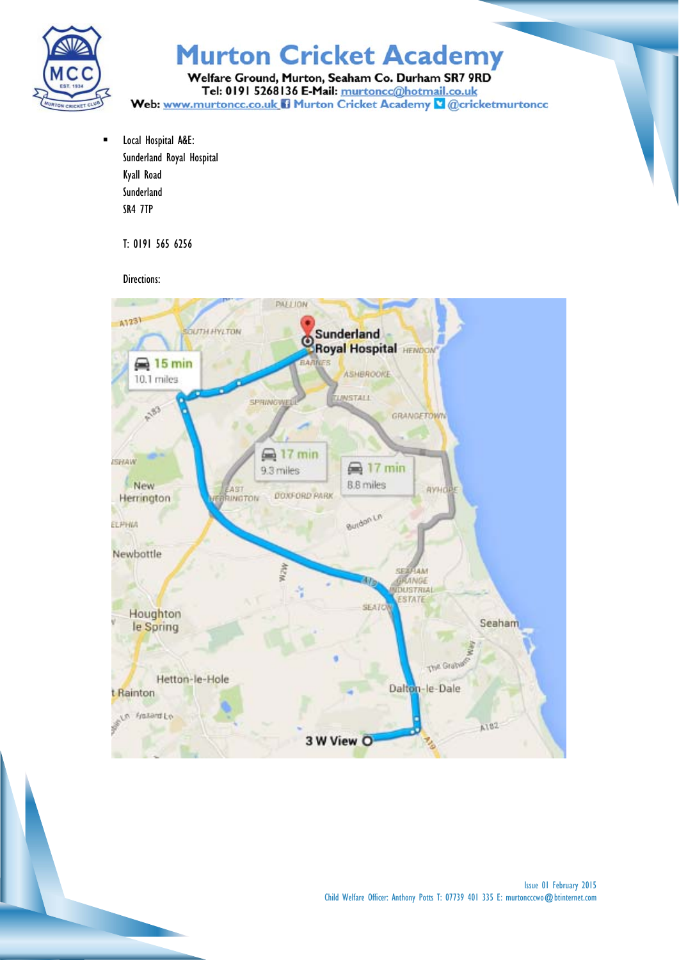

# **Murton Cricket Academy**

Welfare Ground, Murton, Seaham Co. Durham SR7 9RD Tel: 0191 5268136 E-Mail: murtoncc@hotmail.co.uk Web: www.murtoncc.co.uk B Murton Cricket Academy & @cricketmurtoncc

**EXEC** Local Hospital A&E: Sunderland Royal Hospital Kyall Road Sunderland SR4 7TP

T: 0191 565 6256

Directions: